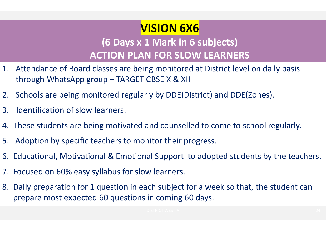# VISION 6X6

#### (6 Days x 1 Mark in 6 subjects) ACTION PLAN FOR SLOW LEARNERS

- 1. Attendance of Board classes are being monitored at District level on daily basis through WhatsApp group – TARGET CBSE X & XII **VIS<br>
3. ISBN VERTION PLAN**<br>
3. Intendance of Board classes are being<br>
through WhatsApp group – TARGET CB<br>
3. Identification of slow learners.<br>
4. These students are being motivated and<br>
5. Adoption by specific toochers to
- 2. Schools are being monitored regularly by DDE(District) and DDE(Zones).
- 
- 4. These students are being motivated and counselled to come to school regularly.
- 5. Adoption by specific teachers to monitor their progress.
- 6. Educational, Motivational & Emotional Support to adopted students by the teachers.
- 7. Focused on 60% easy syllabus for slow learners.
- 8. Daily preparation for 1 question in each subject for a week so that, the student can prepare most expected 60 questions in coming 60 days. ounselled to come to school regularly.<br>
their progress.<br>
pport to adopted students by the teachers.<br>
rners.<br>
ubject for a week so that, the student can<br>
ming 60 days.<br>
NESTEA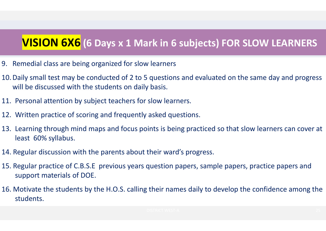## VISION 6X6 (6 Days x 1 Mark in 6 subjects) FOR SLOW LEARNERS

- 9. Remedial class are being organized for slow learners
- 10.Daily small test may be conducted of 2 to 5 questions and evaluated on the same day and progress will be discussed with the students on daily basis.
- 11. Personal attention by subject teachers for slow learners.
- 12. Written practice of scoring and frequently asked questions.
- 13. Learning through mind maps and focus points is being practiced so that slow learners can cover at least 60% syllabus. Daily small test may be conducted of 2 to 5 questions and evaluated on the same day and progress<br>will be discussed with the students on daily basis.<br>Personal attention by subject teachers for slow learners.<br>Written practic
- 14. Regular discussion with the parents about their ward's progress.
- 15. Regular practice of C.B.S.E previous years question papers, sample papers, practice papers and support materials of DOE.
- 16. Motivate the students by the H.O.S. calling their names daily to develop the confidence among the students.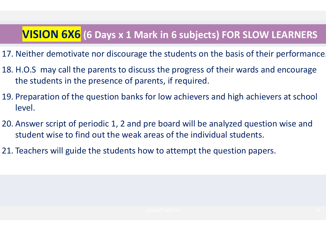## VISION 6X6 (6 Days x 1 Mark in 6 subjects) FOR SLOW LEARNERS

- 17. Neither demotivate nor discourage the students on the basis of their performance.
- 18. H.O.S may call the parents to discuss the progress of their wards and encourage the students in the presence of parents, if required.
- 19. Preparation of the question banks for low achievers and high achievers at school level.
- 20. Answer script of periodic 1, 2 and pre board will be analyzed question wise and student wise to find out the weak areas of the individual students. Depends of the individual students.<br>
attempt the question papers.<br>
The statempt the question papers.
- 21. Teachers will guide the students how to attempt the question papers.